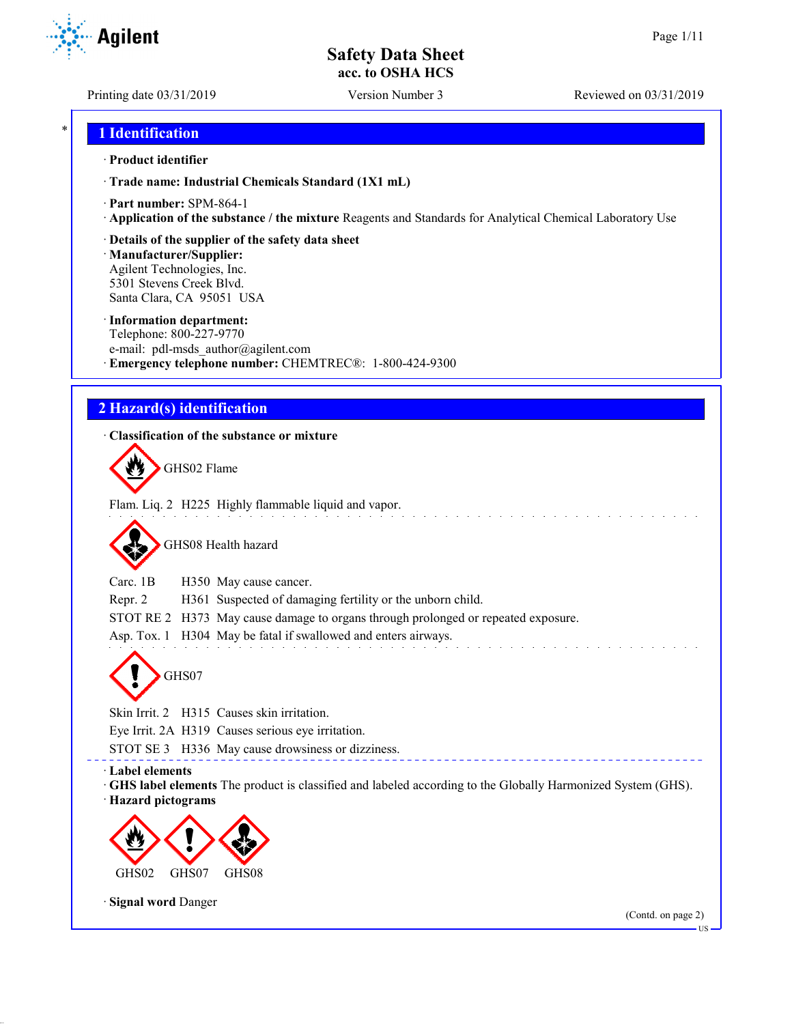Printing date 03/31/2019 Version Number 3 Reviewed on 03/31/2019

## \* **1 Identification**

#### · **Product identifier**

· **Trade name: Industrial Chemicals Standard (1X1 mL)**

- · **Part number:** SPM-864-1
- · **Application of the substance / the mixture** Reagents and Standards for Analytical Chemical Laboratory Use
- · **Details of the supplier of the safety data sheet**

· **Manufacturer/Supplier:** Agilent Technologies, Inc. 5301 Stevens Creek Blvd. Santa Clara, CA 95051 USA

#### · **Information department:**

Telephone: 800-227-9770 e-mail: pdl-msds author@agilent.com · **Emergency telephone number:** CHEMTREC®: 1-800-424-9300

## **2 Hazard(s) identification**

### · **Classification of the substance or mixture**

GHS02 Flame

Flam. Liq. 2 H225 Highly flammable liquid and vapor.

GHS08 Health hazard

Carc. 1B H350 May cause cancer.

Repr. 2 H361 Suspected of damaging fertility or the unborn child.

STOT RE 2 H373 May cause damage to organs through prolonged or repeated exposure.

Asp. Tox. 1 H304 May be fatal if swallowed and enters airways.

GHS07

Skin Irrit. 2 H315 Causes skin irritation.

Eye Irrit. 2A H319 Causes serious eye irritation.

STOT SE 3 H336 May cause drowsiness or dizziness.

#### · **Label elements**

· **GHS label elements** The product is classified and labeled according to the Globally Harmonized System (GHS). · **Hazard pictograms**



· **Signal word** Danger

(Contd. on page 2)

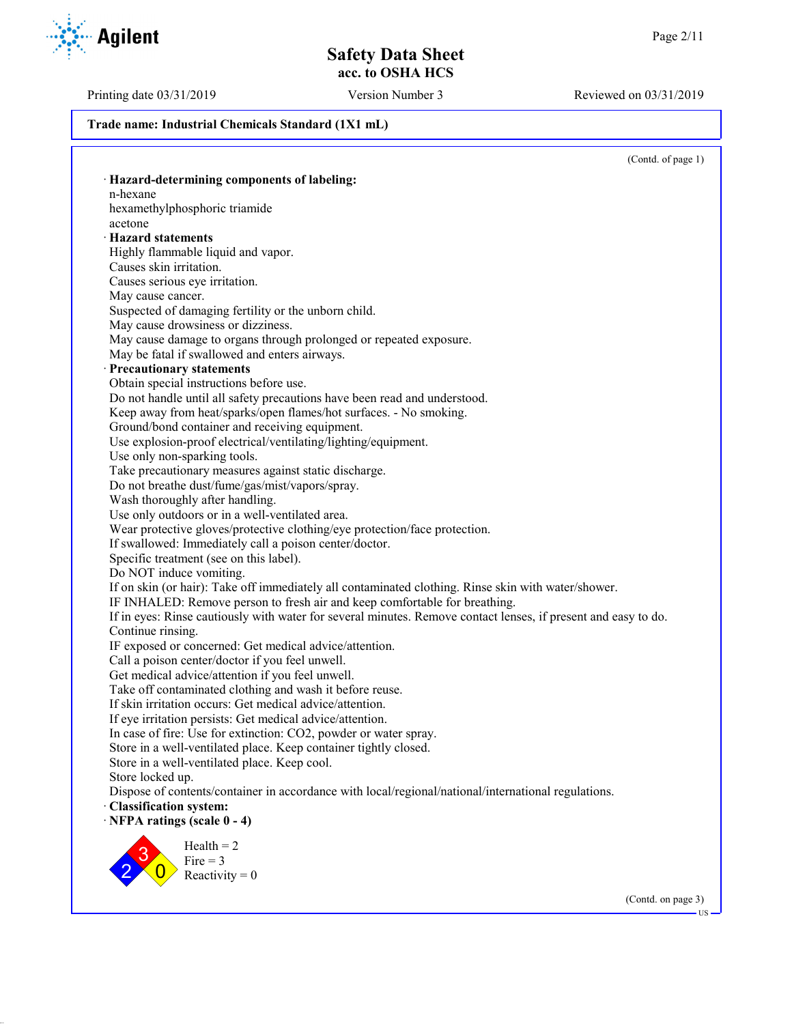Printing date 03/31/2019 Version Number 3 Reviewed on 03/31/2019

#### **Trade name: Industrial Chemicals Standard (1X1 mL)**

(Contd. of page 1) · **Hazard-determining components of labeling:** n-hexane hexamethylphosphoric triamide acetone · **Hazard statements** Highly flammable liquid and vapor. Causes skin irritation. Causes serious eye irritation. May cause cancer. Suspected of damaging fertility or the unborn child. May cause drowsiness or dizziness. May cause damage to organs through prolonged or repeated exposure. May be fatal if swallowed and enters airways. · **Precautionary statements** Obtain special instructions before use. Do not handle until all safety precautions have been read and understood. Keep away from heat/sparks/open flames/hot surfaces. - No smoking. Ground/bond container and receiving equipment. Use explosion-proof electrical/ventilating/lighting/equipment. Use only non-sparking tools. Take precautionary measures against static discharge. Do not breathe dust/fume/gas/mist/vapors/spray. Wash thoroughly after handling. Use only outdoors or in a well-ventilated area. Wear protective gloves/protective clothing/eye protection/face protection. If swallowed: Immediately call a poison center/doctor. Specific treatment (see on this label). Do NOT induce vomiting. If on skin (or hair): Take off immediately all contaminated clothing. Rinse skin with water/shower. IF INHALED: Remove person to fresh air and keep comfortable for breathing. If in eyes: Rinse cautiously with water for several minutes. Remove contact lenses, if present and easy to do. Continue rinsing. IF exposed or concerned: Get medical advice/attention. Call a poison center/doctor if you feel unwell. Get medical advice/attention if you feel unwell. Take off contaminated clothing and wash it before reuse. If skin irritation occurs: Get medical advice/attention. If eye irritation persists: Get medical advice/attention. In case of fire: Use for extinction: CO2, powder or water spray. Store in a well-ventilated place. Keep container tightly closed. Store in a well-ventilated place. Keep cool. Store locked up. Dispose of contents/container in accordance with local/regional/national/international regulations. · **Classification system:** · **NFPA ratings (scale 0 - 4)** 2 3  $\overline{0}$  $Health = 2$  $Fire = 3$ Reactivity  $= 0$ 

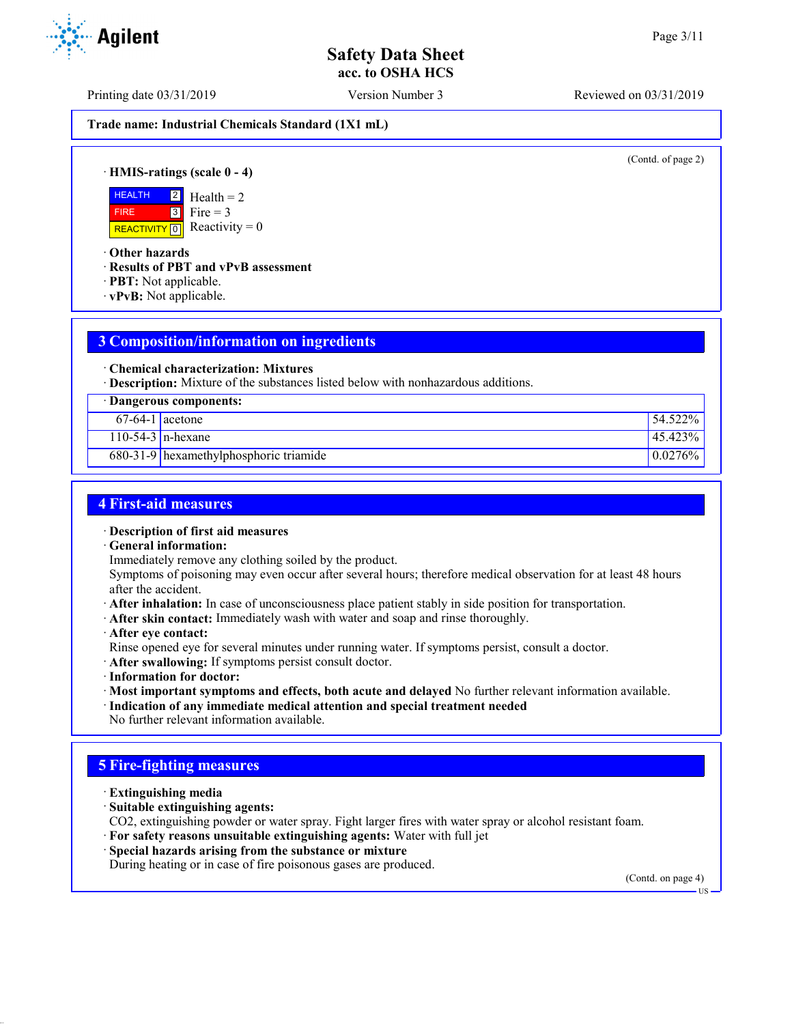Printing date 03/31/2019 Version Number 3 Reviewed on 03/31/2019

**Trade name: Industrial Chemicals Standard (1X1 mL)**

(Contd. of page 2)

· **HMIS-ratings (scale 0 - 4)**

**HEALTH**  FIRE REACTIVITY  $\boxed{0}$  Reactivity = 0  $2$  $3$  $Health = 2$ Fire  $= 3$ 

· **Other hazards**

- · **Results of PBT and vPvB assessment**
- · **PBT:** Not applicable.
- · **vPvB:** Not applicable.

# **3 Composition/information on ingredients**

· **Chemical characterization: Mixtures**

· **Description:** Mixture of the substances listed below with nonhazardous additions.

| · Dangerous components: |                                          |              |
|-------------------------|------------------------------------------|--------------|
| $67-64-1$ acetone       |                                          | $154.522\%$  |
|                         | $110-54-3$ n-hexane                      | $ 45.423\% $ |
|                         | $680-31-9$ hexamethylphosphoric triamide | $10.0276\%$  |

## **4 First-aid measures**

· **Description of first aid measures**

· **General information:**

Immediately remove any clothing soiled by the product.

Symptoms of poisoning may even occur after several hours; therefore medical observation for at least 48 hours after the accident.

- · **After inhalation:** In case of unconsciousness place patient stably in side position for transportation.
- · **After skin contact:** Immediately wash with water and soap and rinse thoroughly.
- · **After eye contact:**

Rinse opened eye for several minutes under running water. If symptoms persist, consult a doctor.

- · **After swallowing:** If symptoms persist consult doctor.
- · **Information for doctor:**
- · **Most important symptoms and effects, both acute and delayed** No further relevant information available.
- · **Indication of any immediate medical attention and special treatment needed**
- No further relevant information available.

## **5 Fire-fighting measures**

- · **Extinguishing media**
- · **Suitable extinguishing agents:**

CO2, extinguishing powder or water spray. Fight larger fires with water spray or alcohol resistant foam.

- · **For safety reasons unsuitable extinguishing agents:** Water with full jet
- · **Special hazards arising from the substance or mixture**

During heating or in case of fire poisonous gases are produced.

(Contd. on page 4)

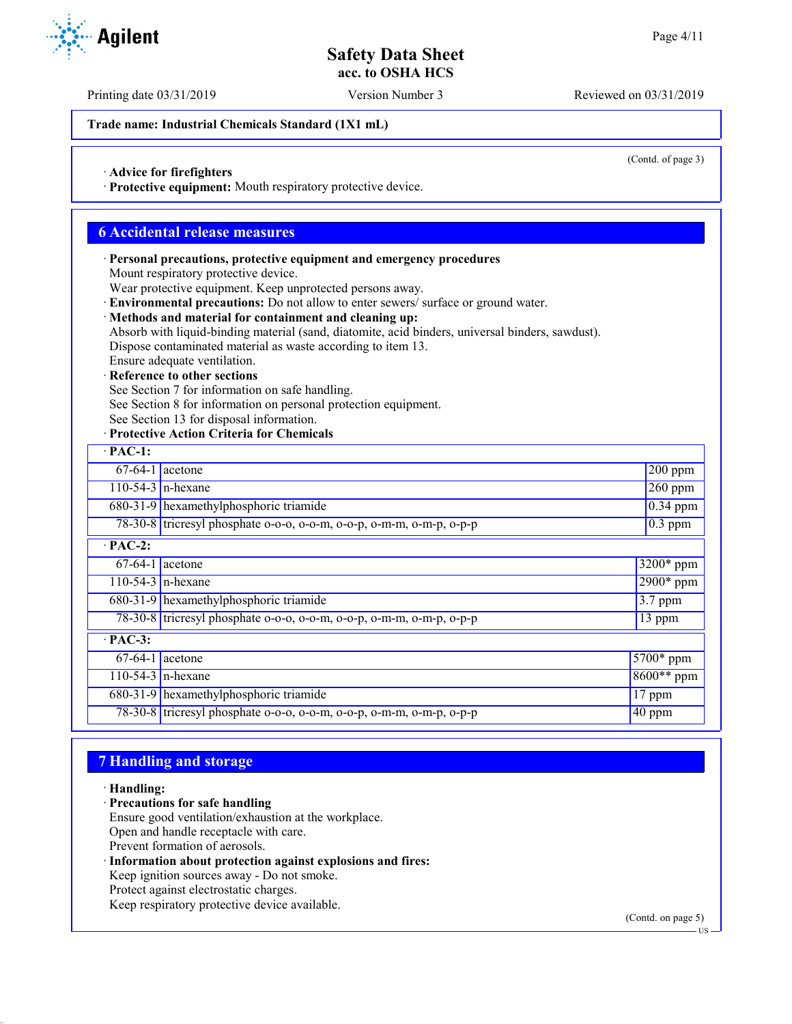(Contd. of page 3)

## **Safety Data Sheet acc. to OSHA HCS**

Printing date 03/31/2019 Version Number 3 Reviewed on 03/31/2019

**Trade name: Industrial Chemicals Standard (1X1 mL)**

· **Advice for firefighters**

· **Protective equipment:** Mouth respiratory protective device.

## **6 Accidental release measures**

· **Personal precautions, protective equipment and emergency procedures** Mount respiratory protective device.

Wear protective equipment. Keep unprotected persons away.

· **Environmental precautions:** Do not allow to enter sewers/ surface or ground water.

#### · **Methods and material for containment and cleaning up:**

Absorb with liquid-binding material (sand, diatomite, acid binders, universal binders, sawdust).

Dispose contaminated material as waste according to item 13.

# Ensure adequate ventilation.

**Reference to other sections** 

See Section 7 for information on safe handling.

See Section 8 for information on personal protection equipment.

See Section 13 for disposal information.

#### · **Protective Action Criteria for Chemicals**

| $\cdot$ PAC-1: |                                                                      |                  |
|----------------|----------------------------------------------------------------------|------------------|
|                | $67-64-1$ acetone                                                    | $200$ ppm        |
|                | $110-54-3$ n-hexane                                                  | $\sqrt{260}$ ppm |
|                | 680-31-9 hexamethylphosphoric triamide                               | $0.34$ ppm       |
|                | 78-30-8 tricresyl phosphate o-o-o, o-o-m, o-o-p, o-m-m, o-m-p, o-p-p | $0.3$ ppm        |
| $\cdot$ PAC-2: |                                                                      |                  |
|                | $67-64-1$ acetone                                                    | $3200*$ ppm      |
|                | $110-54-3$ n-hexane                                                  | $2900*$ ppm      |
|                | 680-31-9 hexamethylphosphoric triamide                               | 3.7 ppm          |
|                | 78-30-8 tricresyl phosphate o-o-o, o-o-m, o-o-p, o-m-m, o-m-p, o-p-p | 13 ppm           |
| $·$ PAC-3:     |                                                                      |                  |
|                | $67-64-1$ acetone                                                    | $5700*$ ppm      |
|                | $110-54-3$ n-hexane                                                  | $8600**$ ppm     |
|                | 680-31-9 hexamethylphosphoric triamide                               | $17$ ppm         |
|                | 78-30-8 tricresyl phosphate o-o-o, o-o-m, o-o-p, o-m-m, o-m-p, o-p-p | $40$ ppm         |

## **7 Handling and storage**

· **Handling:**

- · **Precautions for safe handling**
- Ensure good ventilation/exhaustion at the workplace.
- Open and handle receptacle with care.
- Prevent formation of aerosols.
- · **Information about protection against explosions and fires:** Keep ignition sources away - Do not smoke. Protect against electrostatic charges. Keep respiratory protective device available.

(Contd. on page 5)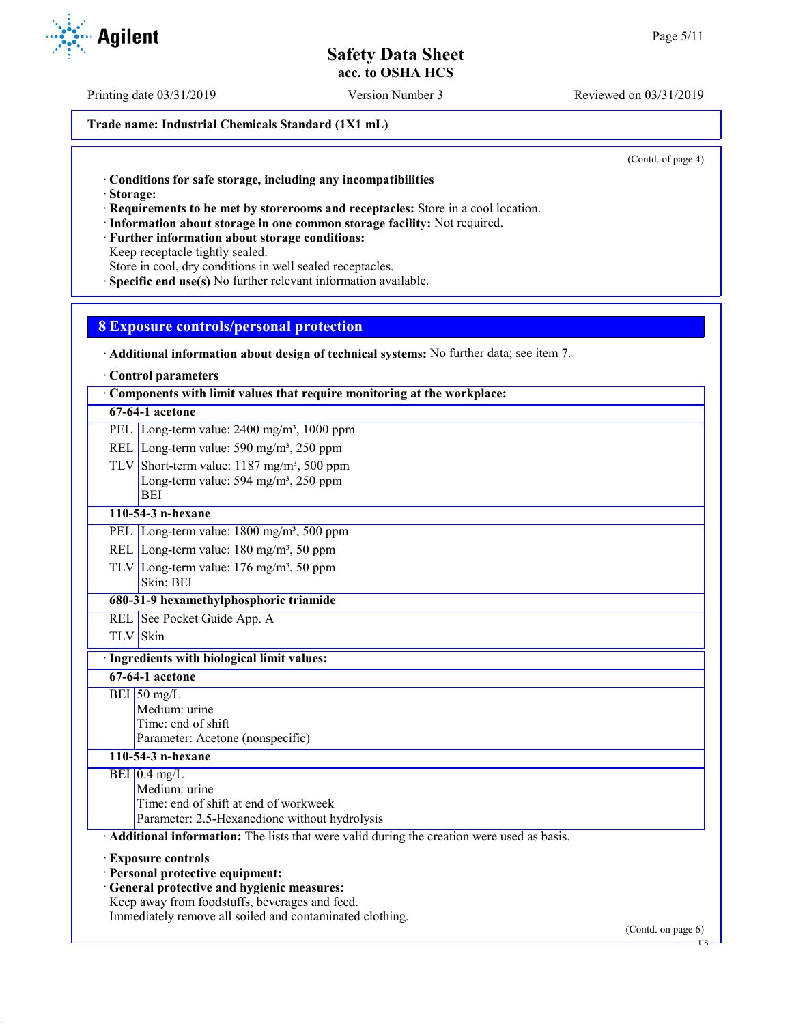Printing date 03/31/2019 Version Number 3 Reviewed on 03/31/2019

**Trade name: Industrial Chemicals Standard (1X1 mL)**

(Contd. of page 4)

· **Conditions for safe storage, including any incompatibilities**

· **Storage:**

· **Requirements to be met by storerooms and receptacles:** Store in a cool location.

- · **Information about storage in one common storage facility:** Not required.
- · **Further information about storage conditions:**

Keep receptacle tightly sealed.

Store in cool, dry conditions in well sealed receptacles.

· **Specific end use(s)** No further relevant information available.

## **8 Exposure controls/personal protection**

|  |  |  | Additional information about design of technical systems: No further data; see item 7. |
|--|--|--|----------------------------------------------------------------------------------------|
|--|--|--|----------------------------------------------------------------------------------------|

· **Control parameters**

| Components with limit values that require monitoring at the workplace:                        |                                                                                           |    |
|-----------------------------------------------------------------------------------------------|-------------------------------------------------------------------------------------------|----|
|                                                                                               | $67-64-1$ acetone                                                                         |    |
|                                                                                               | PEL Long-term value: $2400 \text{ mg/m}^3$ , 1000 ppm                                     |    |
|                                                                                               | REL Long-term value: $590 \text{ mg/m}^3$ , $250 \text{ ppm}$                             |    |
|                                                                                               | TLV Short-term value: $1187 \text{ mg/m}^3$ , 500 ppm                                     |    |
|                                                                                               | Long-term value: $594 \text{ mg/m}^3$ , $250 \text{ ppm}$                                 |    |
|                                                                                               | <b>BEI</b>                                                                                |    |
|                                                                                               | 110-54-3 n-hexane                                                                         |    |
|                                                                                               | PEL Long-term value: $1800 \text{ mg/m}^3$ , 500 ppm                                      |    |
|                                                                                               | REL Long-term value: 180 mg/m <sup>3</sup> , 50 ppm                                       |    |
|                                                                                               | TLV Long-term value: $176 \text{ mg/m}^3$ , 50 ppm                                        |    |
|                                                                                               | Skin; BEI                                                                                 |    |
|                                                                                               | 680-31-9 hexamethylphosphoric triamide                                                    |    |
|                                                                                               | REL See Pocket Guide App. A                                                               |    |
|                                                                                               | TLV Skin                                                                                  |    |
|                                                                                               | Ingredients with biological limit values:                                                 |    |
|                                                                                               | 67-64-1 acetone                                                                           |    |
|                                                                                               | BEI 50 mg/L                                                                               |    |
|                                                                                               | Medium: urine                                                                             |    |
|                                                                                               | Time: end of shift                                                                        |    |
|                                                                                               | Parameter: Acetone (nonspecific)                                                          |    |
|                                                                                               | 110-54-3 n-hexane                                                                         |    |
|                                                                                               | $BEI$ 0.4 mg/L                                                                            |    |
|                                                                                               | Medium: urine                                                                             |    |
|                                                                                               | Time: end of shift at end of workweek<br>Parameter: 2.5-Hexanedione without hydrolysis    |    |
|                                                                                               | Additional information: The lists that were valid during the creation were used as basis. |    |
|                                                                                               |                                                                                           |    |
|                                                                                               | <b>Exposure controls</b>                                                                  |    |
| · Personal protective equipment:                                                              |                                                                                           |    |
| · General protective and hygienic measures:<br>Keep away from foodstuffs, beverages and feed. |                                                                                           |    |
|                                                                                               | Immediately remove all soiled and contaminated clothing.                                  |    |
|                                                                                               | (Contd. on page 6)                                                                        |    |
|                                                                                               |                                                                                           | US |



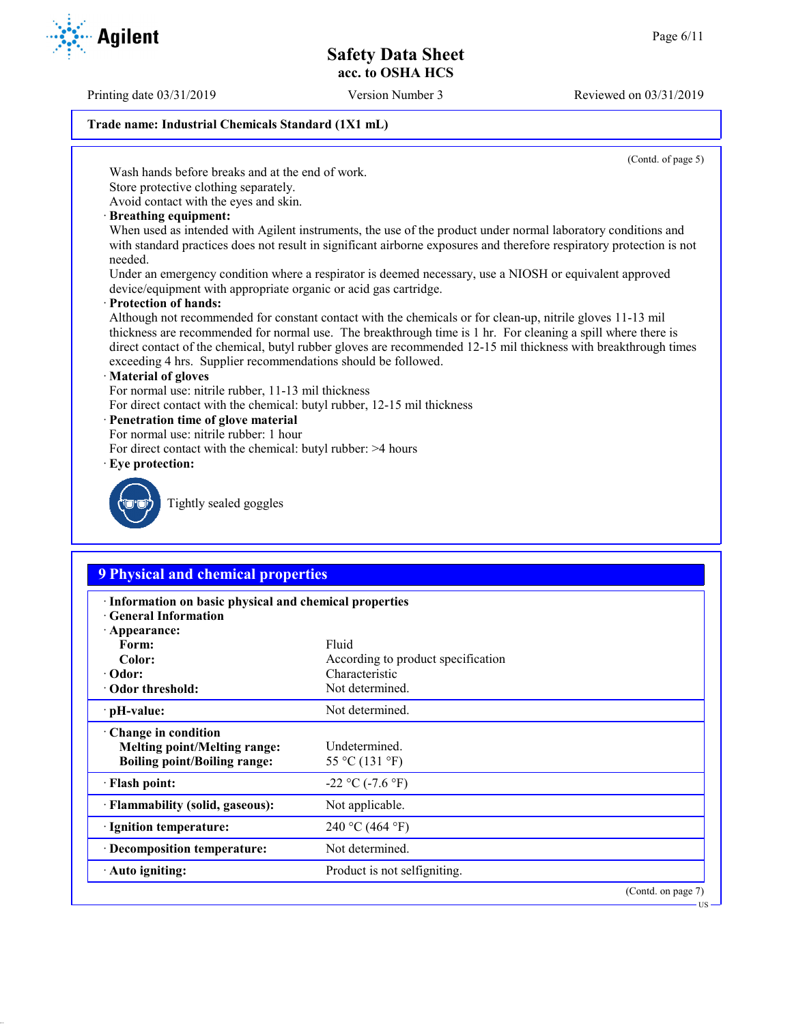Printing date 03/31/2019 Version Number 3 Reviewed on 03/31/2019

## **Trade name: Industrial Chemicals Standard (1X1 mL)**

(Contd. of page 5)

Wash hands before breaks and at the end of work.

Store protective clothing separately.

Avoid contact with the eyes and skin.

· **Breathing equipment:**

When used as intended with Agilent instruments, the use of the product under normal laboratory conditions and with standard practices does not result in significant airborne exposures and therefore respiratory protection is not needed.

Under an emergency condition where a respirator is deemed necessary, use a NIOSH or equivalent approved device/equipment with appropriate organic or acid gas cartridge.

· **Protection of hands:**

Although not recommended for constant contact with the chemicals or for clean-up, nitrile gloves 11-13 mil thickness are recommended for normal use. The breakthrough time is 1 hr. For cleaning a spill where there is direct contact of the chemical, butyl rubber gloves are recommended 12-15 mil thickness with breakthrough times exceeding 4 hrs. Supplier recommendations should be followed.

#### · **Material of gloves**

For normal use: nitrile rubber, 11-13 mil thickness

For direct contact with the chemical: butyl rubber, 12-15 mil thickness

## · **Penetration time of glove material**

- For normal use: nitrile rubber: 1 hour
- For direct contact with the chemical: butyl rubber: >4 hours
- · **Eye protection:**



Tightly sealed goggles

# **9 Physical and chemical properties**

| · Information on basic physical and chemical properties<br><b>Ceneral Information</b> |                                    |  |
|---------------------------------------------------------------------------------------|------------------------------------|--|
| $\cdot$ Appearance:                                                                   |                                    |  |
| Form:                                                                                 | Fluid                              |  |
| Color:                                                                                | According to product specification |  |
| $\cdot$ Odor:                                                                         | Characteristic                     |  |
| • Odor threshold:                                                                     | Not determined.                    |  |
| $\cdot$ pH-value:                                                                     | Not determined.                    |  |
| $\cdot$ Change in condition                                                           |                                    |  |
| <b>Melting point/Melting range:</b>                                                   | Undetermined.                      |  |
| <b>Boiling point/Boiling range:</b>                                                   | 55 °C (131 °F)                     |  |
| · Flash point:                                                                        | $-22$ °C ( $-7.6$ °F)              |  |
| · Flammability (solid, gaseous):                                                      | Not applicable.                    |  |
| · Ignition temperature:                                                               | 240 °C (464 °F)                    |  |
| · Decomposition temperature:                                                          | Not determined.                    |  |
| · Auto igniting:                                                                      | Product is not selfigniting.       |  |
|                                                                                       | $(Contd)$ on nage $7)$             |  |



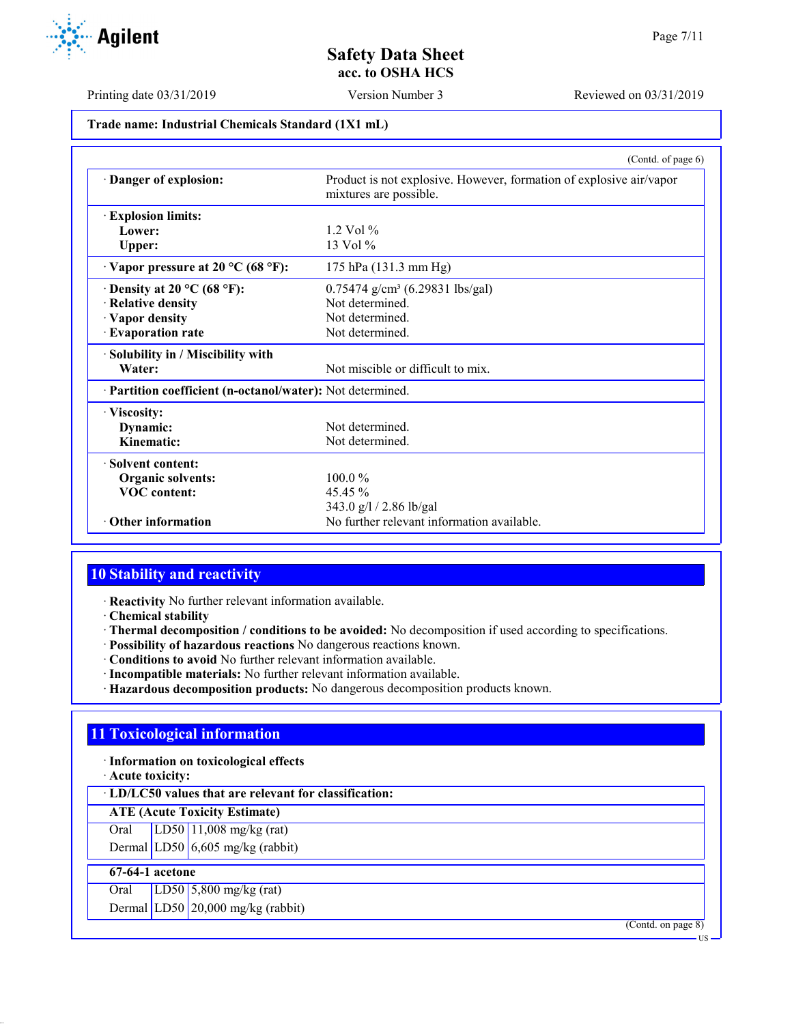

Printing date 03/31/2019 Version Number 3 Reviewed on 03/31/2019

**Trade name: Industrial Chemicals Standard (1X1 mL)**

|                                                            | (Contd. of page 6)                                                                            |
|------------------------------------------------------------|-----------------------------------------------------------------------------------------------|
| Danger of explosion:                                       | Product is not explosive. However, formation of explosive air/vapor<br>mixtures are possible. |
| <b>Explosion limits:</b>                                   |                                                                                               |
| Lower:                                                     | $1.2$ Vol $\%$                                                                                |
| Upper:                                                     | $13 \text{ Vol } \%$                                                                          |
| $\cdot$ Vapor pressure at 20 °C (68 °F):                   | 175 hPa (131.3 mm Hg)                                                                         |
| $\cdot$ Density at 20 °C (68 °F):                          | $0.75474$ g/cm <sup>3</sup> (6.29831 lbs/gal)                                                 |
| · Relative density                                         | Not determined.                                                                               |
| · Vapor density                                            | Not determined.                                                                               |
| · Evaporation rate                                         | Not determined.                                                                               |
| · Solubility in / Miscibility with                         |                                                                                               |
| Water:                                                     | Not miscible or difficult to mix.                                                             |
| · Partition coefficient (n-octanol/water): Not determined. |                                                                                               |
| · Viscosity:                                               |                                                                                               |
| Dynamic:                                                   | Not determined.                                                                               |
| Kinematic:                                                 | Not determined.                                                                               |
| · Solvent content:                                         |                                                                                               |
| Organic solvents:                                          | $100.0\%$                                                                                     |
| <b>VOC</b> content:                                        | $45.45\%$                                                                                     |
|                                                            | 343.0 g/l / 2.86 lb/gal                                                                       |
| · Other information                                        | No further relevant information available.                                                    |

## **10 Stability and reactivity**

· **Reactivity** No further relevant information available.

· **Chemical stability**

- · **Thermal decomposition / conditions to be avoided:** No decomposition if used according to specifications.
- · **Possibility of hazardous reactions** No dangerous reactions known.
- · **Conditions to avoid** No further relevant information available.
- · **Incompatible materials:** No further relevant information available.
- · **Hazardous decomposition products:** No dangerous decomposition products known.

# **11 Toxicological information**

· **Information on toxicological effects**

· **Acute toxicity:**

· **LD/LC50 values that are relevant for classification:**

**ATE (Acute Toxicity Estimate)**

Oral LD50 11,008 mg/kg (rat) Dermal  $LD50/6,605$  mg/kg (rabbit)

# **67-64-1 acetone**

Oral LD50 5,800 mg/kg (rat)

Dermal LD50 20,000 mg/kg (rabbit)

(Contd. on page 8)

US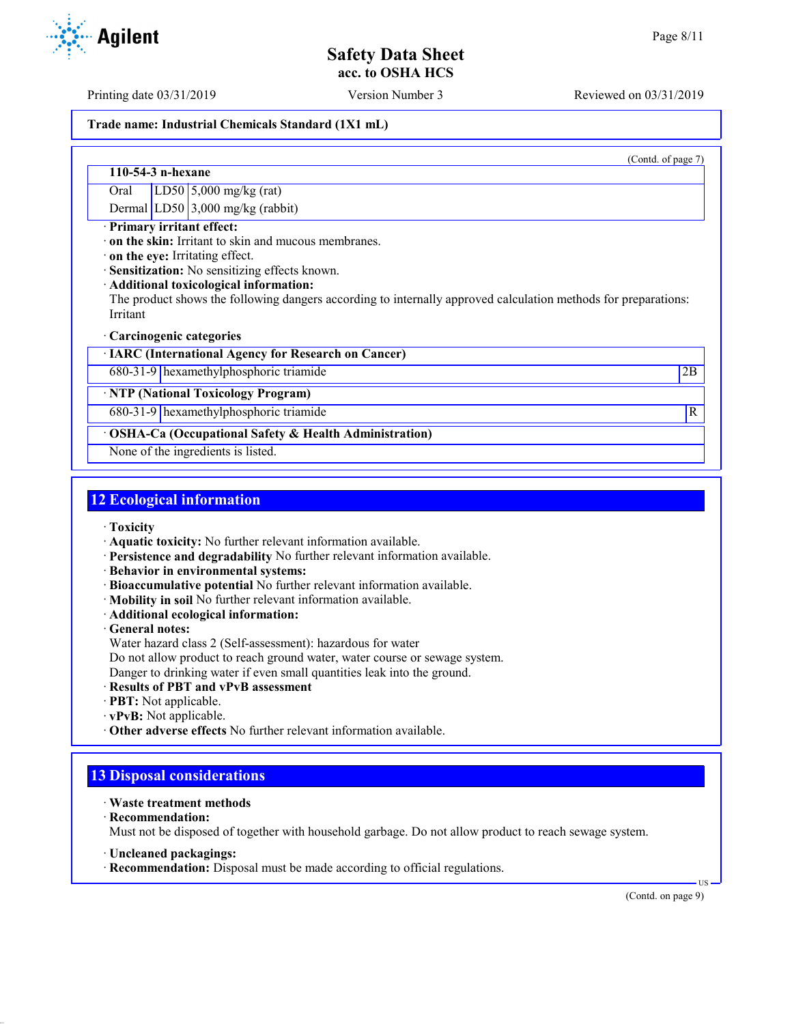Printing date 03/31/2019 Version Number 3 Reviewed on 03/31/2019

#### **Trade name: Industrial Chemicals Standard (1X1 mL)**

|                     | (Contd.<br>of page 7 |
|---------------------|----------------------|
| $110-54-3$ n-hexane |                      |

Oral LD50 5,000 mg/kg (rat) Dermal LD50 3,000 mg/kg (rabbit)

· **Primary irritant effect:**

· **on the skin:** Irritant to skin and mucous membranes.

· **on the eye:** Irritating effect.

· **Sensitization:** No sensitizing effects known.

#### · **Additional toxicological information:**

The product shows the following dangers according to internally approved calculation methods for preparations: Irritant

#### · **Carcinogenic categories**

· **IARC (International Agency for Research on Cancer)**

680-31-9 hexamethylphosphoric triamide 2B

· **NTP (National Toxicology Program)**

680-31-9 hexamethylphosphoric triamide R

· **OSHA-Ca (Occupational Safety & Health Administration)**

None of the ingredients is listed.

## **12 Ecological information**

- · **Toxicity**
- · **Aquatic toxicity:** No further relevant information available.
- · **Persistence and degradability** No further relevant information available.
- · **Behavior in environmental systems:**
- · **Bioaccumulative potential** No further relevant information available.
- · **Mobility in soil** No further relevant information available.
- · **Additional ecological information:**

· **General notes:**

- Water hazard class 2 (Self-assessment): hazardous for water
- Do not allow product to reach ground water, water course or sewage system.
- Danger to drinking water if even small quantities leak into the ground.
- · **Results of PBT and vPvB assessment**
- · **PBT:** Not applicable.
- · **vPvB:** Not applicable.
- · **Other adverse effects** No further relevant information available.

## **13 Disposal considerations**

- · **Waste treatment methods**
- · **Recommendation:**

Must not be disposed of together with household garbage. Do not allow product to reach sewage system.

- · **Uncleaned packagings:**
- · **Recommendation:** Disposal must be made according to official regulations.

(Contd. on page 9)

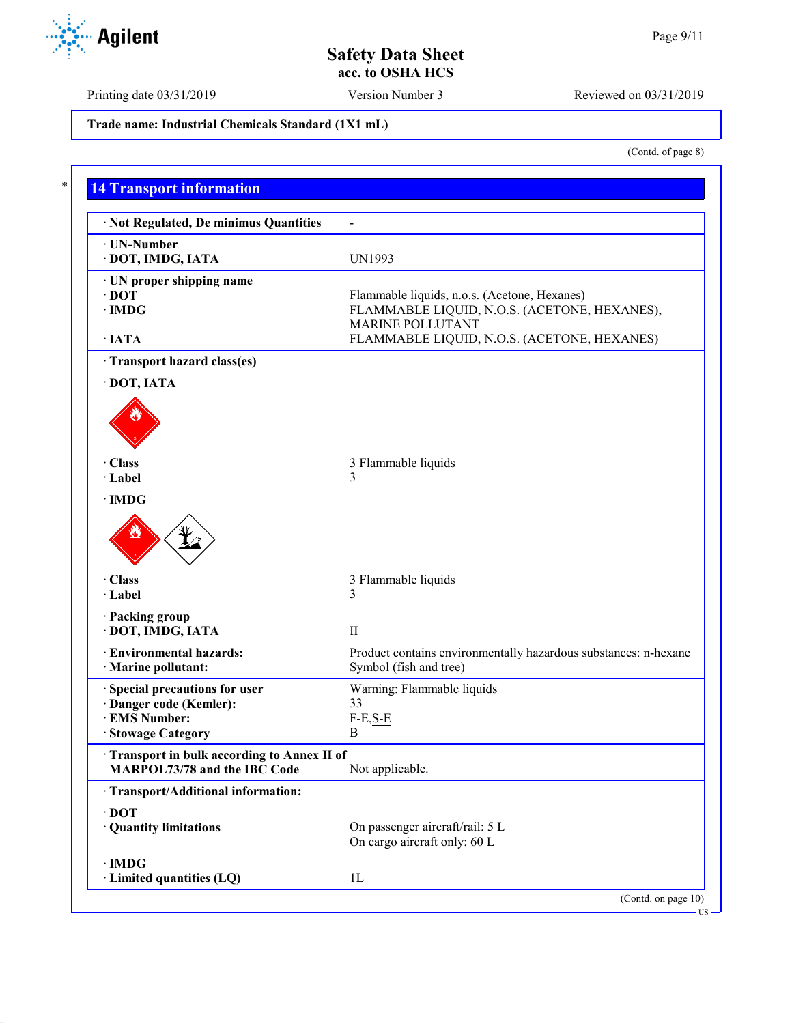(Contd. of page 8)

US

**Safety Data Sheet acc. to OSHA HCS**

Printing date 03/31/2019 Version Number 3 Reviewed on 03/31/2019

**Trade name: Industrial Chemicals Standard (1X1 mL)**

**14 Transport information** · **Not Regulated, De minimus Quantities** - · **UN-Number** · **DOT, IMDG, IATA** UN1993 · **UN proper shipping name · DOT** Flammable liquids, n.o.s. (Acetone, Hexanes) FLAMMABLE LIOUID. N.O.S. (ACETONE FLAMMABLE LIQUID, N.O.S. (ACETONE, HEXANES), MARINE POLLUTANT · **IATA** FLAMMABLE LIQUID, N.O.S. (ACETONE, HEXANES) · **Transport hazard class(es)** · **DOT, IATA** · **Class** 3 Flammable liquids · **Label** 3 · **IMDG** · **Class** 3 Flammable liquids · **Label** 3 · **Packing group** · **DOT, IMDG, IATA** II · **Environmental hazards:** Product contains environmentally hazardous substances: n-hexane · **Marine pollutant:** Symbol (fish and tree) · **Special precautions for user** Warning: Flammable liquids · **Danger code (Kemler):** 33<br>· **EMS Number:** F-E,S-E  $\cdot$  **EMS** Number: · **Stowage Category** B · **Transport in bulk according to Annex II of MARPOL73/78 and the IBC Code** Not applicable. · **Transport/Additional information:** · **DOT** · **Quantity limitations** On passenger aircraft/rail: 5 L On cargo aircraft only: 60 L · **IMDG** · **Limited quantities (LQ)** 1L (Contd. on page 10)

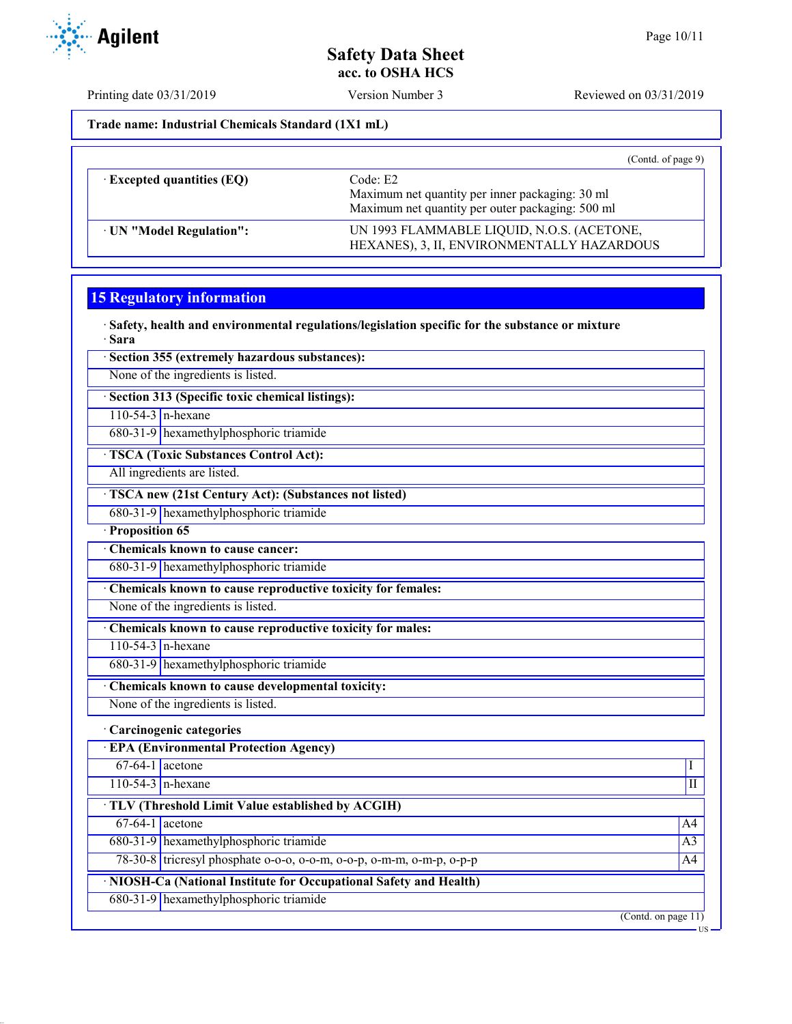Printing date 03/31/2019 Version Number 3 Reviewed on 03/31/2019

**Trade name: Industrial Chemicals Standard (1X1 mL)**

|                                  | (Cond. of page 9)                                                                                               |
|----------------------------------|-----------------------------------------------------------------------------------------------------------------|
| $\cdot$ Excepted quantities (EQ) | Code: E2<br>Maximum net quantity per inner packaging: 30 ml<br>Maximum net quantity per outer packaging: 500 ml |
| · UN "Model Regulation":         | UN 1993 FLAMMABLE LIQUID, N.O.S. (ACETONE,<br>HEXANES), 3, II, ENVIRONMENTALLY HAZARDOUS                        |

## **15 Regulatory information**

· **Safety, health and environmental regulations/legislation specific for the substance or mixture** · **Sara**

· **Section 355 (extremely hazardous substances):**

None of the ingredients is listed.

· **Section 313 (Specific toxic chemical listings):**

110-54-3 n-hexane

680-31-9 hexamethylphosphoric triamide

· **TSCA (Toxic Substances Control Act):**

All ingredients are listed.

· **TSCA new (21st Century Act): (Substances not listed)**

680-31-9 hexamethylphosphoric triamide

· **Proposition 65**

· **Chemicals known to cause cancer:** 680-31-9 hexamethylphosphoric triamide

· **Chemicals known to cause reproductive toxicity for females:**

None of the ingredients is listed.

· **Chemicals known to cause reproductive toxicity for males:**

110-54-3 n-hexane

680-31-9 hexamethylphosphoric triamide

· **Chemicals known to cause developmental toxicity:**

None of the ingredients is listed.

· **Carcinogenic categories**

· **EPA (Environmental Protection Agency)**  $67-64-1$  acetone  $1$  $110-54-3$  n-hexane III · **TLV (Threshold Limit Value established by ACGIH)**  $67-64-1$  acetone  $\overline{A}$ 680-31-9 hexamethylphosphoric triamide A3 78-30-8 tricresyl phosphate o-o-o, o-o-m, o-o-p, o-m-m, o-m-p, o-p-p A4 · **NIOSH-Ca (National Institute for Occupational Safety and Health)** 680-31-9 hexamethylphosphoric triamide (Contd. on page 11)